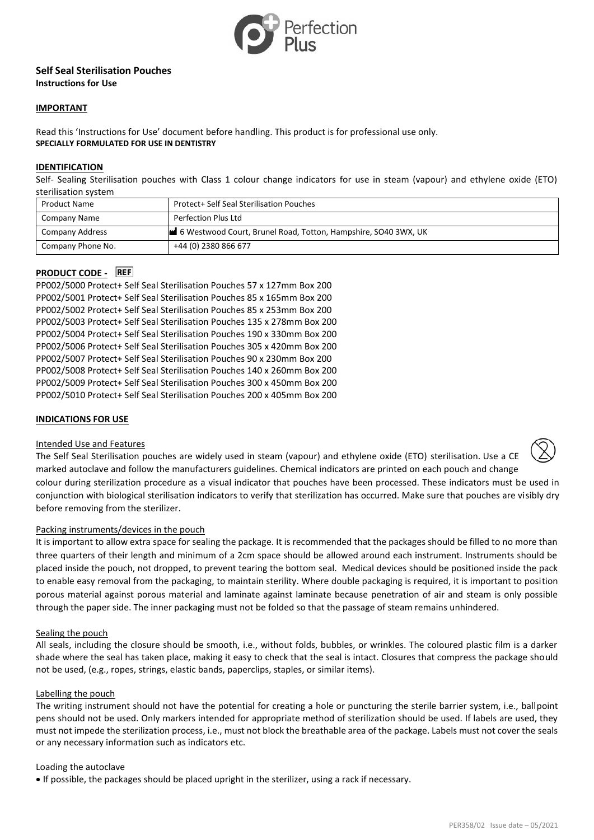

# **Self Seal Sterilisation Pouches Instructions for Use**

### **IMPORTANT**

Read this 'Instructions for Use' document before handling. This product is for professional use only. **SPECIALLY FORMULATED FOR USE IN DENTISTRY**

### **IDENTIFICATION**

Self- Sealing Sterilisation pouches with Class 1 colour change indicators for use in steam (vapour) and ethylene oxide (ETO) sterilisation system

| <b>Product Name</b> | Protect+ Self Seal Sterilisation Pouches                       |
|---------------------|----------------------------------------------------------------|
| Company Name        | Perfection Plus Ltd                                            |
| Company Address     | 6 Westwood Court, Brunel Road, Totton, Hampshire, SO40 3WX, UK |
| Company Phone No.   | +44 (0) 2380 866 677                                           |

# **PRODUCT CODE -** REF

PP002/5000 Protect+ Self Seal Sterilisation Pouches 57 x 127mm Box 200 PP002/5001 Protect+ Self Seal Sterilisation Pouches 85 x 165mm Box 200 PP002/5002 Protect+ Self Seal Sterilisation Pouches 85 x 253mm Box 200 PP002/5003 Protect+ Self Seal Sterilisation Pouches 135 x 278mm Box 200 PP002/5004 Protect+ Self Seal Sterilisation Pouches 190 x 330mm Box 200 PP002/5006 Protect+ Self Seal Sterilisation Pouches 305 x 420mm Box 200 PP002/5007 Protect+ Self Seal Sterilisation Pouches 90 x 230mm Box 200 PP002/5008 Protect+ Self Seal Sterilisation Pouches 140 x 260mm Box 200 PP002/5009 Protect+ Self Seal Sterilisation Pouches 300 x 450mm Box 200 PP002/5010 Protect+ Self Seal Sterilisation Pouches 200 x 405mm Box 200

### **INDICATIONS FOR USE**

#### Intended Use and Features

The Self Seal Sterilisation pouches are widely used in steam (vapour) and ethylene oxide (ETO) sterilisation. Use a CE marked autoclave and follow the manufacturers guidelines. Chemical indicators are printed on each pouch and change colour during sterilization procedure as a visual indicator that pouches have been processed. These indicators must be used in conjunction with biological sterilisation indicators to verify that sterilization has occurred. Make sure that pouches are visibly dry before removing from the sterilizer.

#### Packing instruments/devices in the pouch

It is important to allow extra space for sealing the package. It is recommended that the packages should be filled to no more than three quarters of their length and minimum of a 2cm space should be allowed around each instrument. Instruments should be placed inside the pouch, not dropped, to prevent tearing the bottom seal. Medical devices should be positioned inside the pack to enable easy removal from the packaging, to maintain sterility. Where double packaging is required, it is important to position porous material against porous material and laminate against laminate because penetration of air and steam is only possible through the paper side. The inner packaging must not be folded so that the passage of steam remains unhindered.

#### Sealing the pouch

All seals, including the closure should be smooth, i.e., without folds, bubbles, or wrinkles. The coloured plastic film is a darker shade where the seal has taken place, making it easy to check that the seal is intact. Closures that compress the package should not be used, (e.g., ropes, strings, elastic bands, paperclips, staples, or similar items).

#### Labelling the pouch

The writing instrument should not have the potential for creating a hole or puncturing the sterile barrier system, i.e., ballpoint pens should not be used. Only markers intended for appropriate method of sterilization should be used. If labels are used, they must not impede the sterilization process, i.e., must not block the breathable area of the package. Labels must not cover the seals or any necessary information such as indicators etc.

#### Loading the autoclave

• If possible, the packages should be placed upright in the sterilizer, using a rack if necessary.

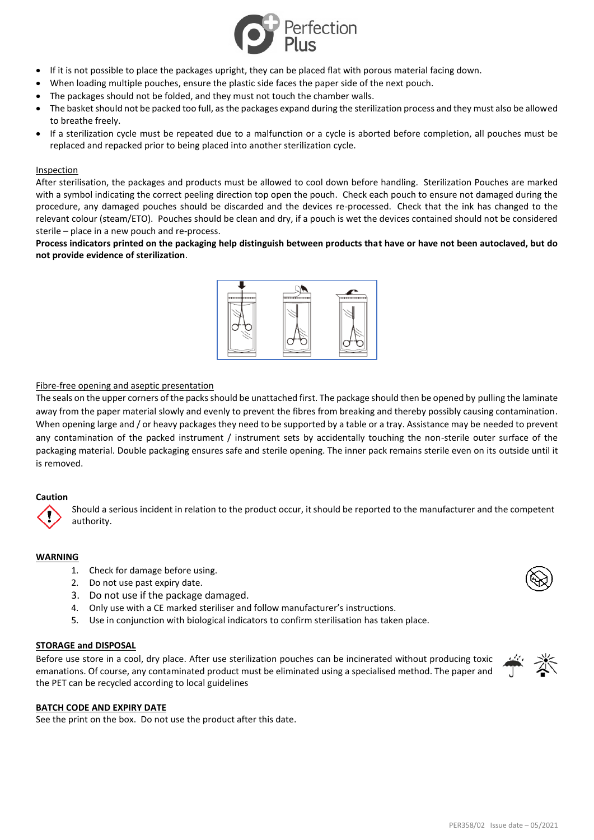

- If it is not possible to place the packages upright, they can be placed flat with porous material facing down.
- When loading multiple pouches, ensure the plastic side faces the paper side of the next pouch.
- The packages should not be folded, and they must not touch the chamber walls.
- The basket should not be packed too full, as the packages expand during the sterilization process and they must also be allowed to breathe freely.
- If a sterilization cycle must be repeated due to a malfunction or a cycle is aborted before completion, all pouches must be replaced and repacked prior to being placed into another sterilization cycle.

### Inspection

After sterilisation, the packages and products must be allowed to cool down before handling. Sterilization Pouches are marked with a symbol indicating the correct peeling direction top open the pouch. Check each pouch to ensure not damaged during the procedure, any damaged pouches should be discarded and the devices re-processed. Check that the ink has changed to the relevant colour (steam/ETO). Pouches should be clean and dry, if a pouch is wet the devices contained should not be considered sterile – place in a new pouch and re-process.

**Process indicators printed on the packaging help distinguish between products that have or have not been autoclaved, but do not provide evidence of sterilization**.



# Fibre-free opening and aseptic presentation

The seals on the upper corners of the packs should be unattached first. The package should then be opened by pulling the laminate away from the paper material slowly and evenly to prevent the fibres from breaking and thereby possibly causing contamination. When opening large and / or heavy packages they need to be supported by a table or a tray. Assistance may be needed to prevent any contamination of the packed instrument / instrument sets by accidentally touching the non-sterile outer surface of the packaging material. Double packaging ensures safe and sterile opening. The inner pack remains sterile even on its outside until it is removed.

# **Caution**

Should a serious incident in relation to the product occur, it should be reported to the manufacturer and the competent authority.

# **WARNING**

- 1. Check for damage before using.
- 2. Do not use past expiry date.
- 3. Do not use if the package damaged.
- 4. Only use with a CE marked steriliser and follow manufacturer's instructions.
- 5. Use in conjunction with biological indicators to confirm sterilisation has taken place.

#### **STORAGE and DISPOSAL**

Before use store in a cool, dry place. After use sterilization pouches can be incinerated without producing toxic emanations. Of course, any contaminated product must be eliminated using a specialised method. The paper and the PET can be recycled according to local guidelines



#### **BATCH CODE AND EXPIRY DATE**

See the print on the box. Do not use the product after this date.